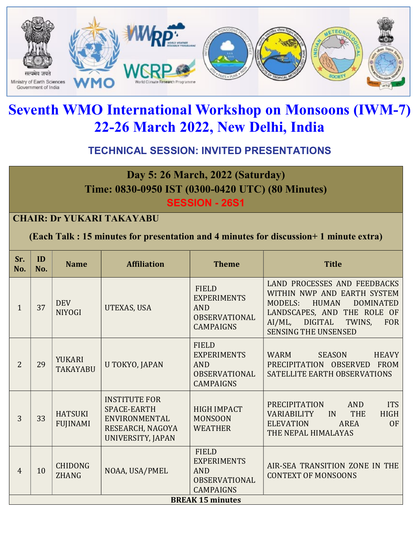

# Seventh WMO International Workshop on Monsoons (IWM-7) 22-26 March 2022, New Delhi, India

# TECHNICAL SESSION: INVITED PRESENTATIONS

# Day 5: 26 March, 2022 (Saturday) Time: 0830-0950 IST (0300-0420 UTC) (80 Minutes)

SESSION - 26S1

#### CHAIR: Dr YUKARI TAKAYABU

(Each Talk : 15 minutes for presentation and 4 minutes for discussion+ 1 minute extra)

| Sr.<br>No.              | ID<br>No. | <b>Name</b>                       | <b>Affiliation</b>                                                                                   | <b>Theme</b>                                                                                 | <b>Title</b>                                                                                                                                                                                                                           |
|-------------------------|-----------|-----------------------------------|------------------------------------------------------------------------------------------------------|----------------------------------------------------------------------------------------------|----------------------------------------------------------------------------------------------------------------------------------------------------------------------------------------------------------------------------------------|
| 1                       | 37        | <b>DEV</b><br><b>NIYOGI</b>       | UTEXAS, USA                                                                                          | <b>FIELD</b><br><b>EXPERIMENTS</b><br><b>AND</b><br><b>OBSERVATIONAL</b><br><b>CAMPAIGNS</b> | LAND PROCESSES AND FEEDBACKS<br>WITHIN NWP AND EARTH SYSTEM<br><b>HUMAN</b><br><b>MODELS:</b><br><b>DOMINATED</b><br>LANDSCAPES, AND THE ROLE OF<br><b>DIGITAL</b><br>TWINS,<br>$AI/ML$ ,<br><b>FOR</b><br><b>SENSING THE UNSENSED</b> |
| $\overline{2}$          | 29        | <b>YUKARI</b><br><b>TAKAYABU</b>  | U TOKYO, JAPAN                                                                                       | <b>FIELD</b><br><b>EXPERIMENTS</b><br><b>AND</b><br><b>OBSERVATIONAL</b><br><b>CAMPAIGNS</b> | <b>WARM</b><br><b>SEASON</b><br><b>HEAVY</b><br>PRECIPITATION OBSERVED<br><b>FROM</b><br>SATELLITE EARTH OBSERVATIONS                                                                                                                  |
| 3                       | 33        | <b>HATSUKI</b><br><b>FUJINAMI</b> | <b>INSTITUTE FOR</b><br><b>SPACE-EARTH</b><br>ENVIRONMENTAL<br>RESEARCH, NAGOYA<br>UNIVERSITY, JAPAN | <b>HIGH IMPACT</b><br><b>MONSOON</b><br><b>WEATHER</b>                                       | <b>ITS</b><br><b>PRECIPITATION</b><br><b>AND</b><br><b>THE</b><br><b>HIGH</b><br><b>VARIABILITY</b><br>IN<br><b>ELEVATION</b><br><b>OF</b><br>AREA<br>THE NEPAL HIMALAYAS                                                              |
| $\overline{4}$          | 10        | <b>CHIDONG</b><br><b>ZHANG</b>    | NOAA, USA/PMEL                                                                                       | <b>FIELD</b><br><b>EXPERIMENTS</b><br><b>AND</b><br><b>OBSERVATIONAL</b><br><b>CAMPAIGNS</b> | AIR-SEA TRANSITION ZONE IN THE<br><b>CONTEXT OF MONSOONS</b>                                                                                                                                                                           |
| <b>BREAK 15 minutes</b> |           |                                   |                                                                                                      |                                                                                              |                                                                                                                                                                                                                                        |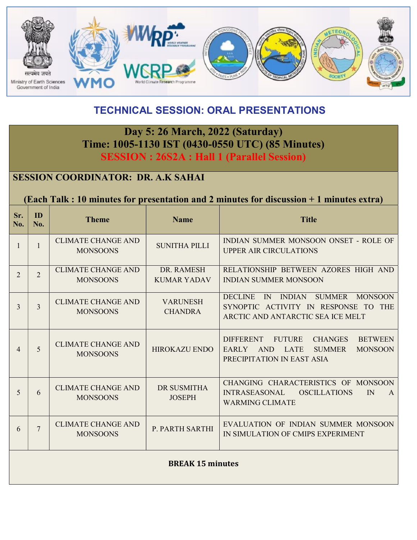

# TECHNICAL SESSION: ORAL PRESENTATIONS

# Day 5: 26 March, 2022 (Saturday) Time: 1005-1130 IST (0430-0550 UTC) (85 Minutes) SESSION : 26S2A : Hall 1 (Parallel Session)

### SESSION COORDINATOR: DR. A.K SAHAI

#### (Each Talk : 10 minutes for presentation and 2 minutes for discussion + 1 minutes extra)

| Sr.<br>No.              | ID<br>No.      | <b>Theme</b>                                 | <b>Name</b>                       | <b>Title</b>                                                                                                                                                                 |  |
|-------------------------|----------------|----------------------------------------------|-----------------------------------|------------------------------------------------------------------------------------------------------------------------------------------------------------------------------|--|
|                         | $\mathbf{1}$   | <b>CLIMATE CHANGE AND</b><br><b>MONSOONS</b> | <b>SUNITHA PILLI</b>              | INDIAN SUMMER MONSOON ONSET - ROLE OF<br><b>UPPER AIR CIRCULATIONS</b>                                                                                                       |  |
| $\overline{2}$          | $\overline{2}$ | <b>CLIMATE CHANGE AND</b><br><b>MONSOONS</b> | DR. RAMESH<br><b>KUMAR YADAV</b>  | RELATIONSHIP BETWEEN AZORES HIGH AND<br><b>INDIAN SUMMER MONSOON</b>                                                                                                         |  |
| 3                       | $\overline{3}$ | <b>CLIMATE CHANGE AND</b><br><b>MONSOONS</b> | <b>VARUNESH</b><br><b>CHANDRA</b> | <b>SUMMER</b><br><b>DECLINE</b><br>IN INDIAN<br><b>MONSOON</b><br>SYNOPTIC ACTIVITY IN RESPONSE TO THE<br>ARCTIC AND ANTARCTIC SEA ICE MELT                                  |  |
| 4                       | 5              | <b>CLIMATE CHANGE AND</b><br><b>MONSOONS</b> | <b>HIROKAZU ENDO</b>              | <b>BETWEEN</b><br><b>DIFFERENT</b><br><b>FUTURE</b><br><b>CHANGES</b><br>EARLY<br><b>AND</b><br><b>LATE</b><br><b>SUMMER</b><br><b>MONSOON</b><br>PRECIPITATION IN EAST ASIA |  |
| 5                       | 6              | <b>CLIMATE CHANGE AND</b><br><b>MONSOONS</b> | DR SUSMITHA<br><b>JOSEPH</b>      | CHANGING CHARACTERISTICS OF MONSOON<br><b>INTRASEASONAL</b><br><b>OSCILLATIONS</b><br>IN<br>A<br><b>WARMING CLIMATE</b>                                                      |  |
| 6                       | $\tau$         | <b>CLIMATE CHANGE AND</b><br><b>MONSOONS</b> | P. PARTH SARTHI                   | EVALUATION OF INDIAN SUMMER MONSOON<br>IN SIMULATION OF CMIPS EXPERIMENT                                                                                                     |  |
| <b>BREAK 15 minutes</b> |                |                                              |                                   |                                                                                                                                                                              |  |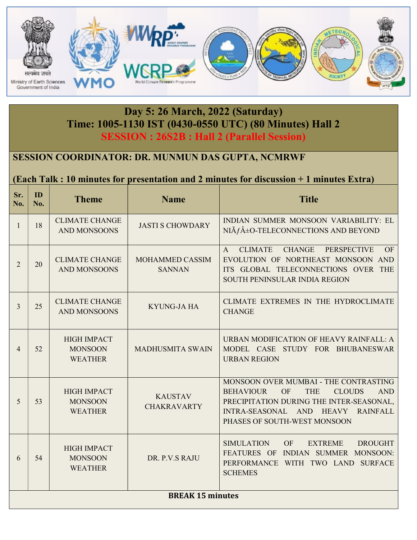

# Day 5: 26 March, 2022 (Saturday) Time: 1005-1130 IST (0430-0550 UTC) (80 Minutes) Hall 2 SESSION : 26S2B : Hall 2 (Parallel Session)

### SESSION COORDINATOR: DR. MUNMUN DAS GUPTA, NCMRWF

#### (Each Talk : 10 minutes for presentation and 2 minutes for discussion + 1 minutes Extra)

| Sr.<br>No.              | ID<br>No. | <b>Theme</b>                                           | <b>Name</b>                          | <b>Title</b>                                                                                                                                                                                                                                      |  |
|-------------------------|-----------|--------------------------------------------------------|--------------------------------------|---------------------------------------------------------------------------------------------------------------------------------------------------------------------------------------------------------------------------------------------------|--|
| $\mathbf{1}$            | 18        | <b>CLIMATE CHANGE</b><br><b>AND MONSOONS</b>           | <b>JASTI S CHOWDARY</b>              | INDIAN SUMMER MONSOON VARIABILITY: EL<br>NIà f±O-TELECONNECTIONS AND BEYOND                                                                                                                                                                       |  |
| $\overline{2}$          | 20        | <b>CLIMATE CHANGE</b><br><b>AND MONSOONS</b>           | MOHAMMED CASSIM<br><b>SANNAN</b>     | <b>CLIMATE</b><br><b>CHANGE</b><br><b>PERSPECTIVE</b><br>OF<br>$\mathsf{A}$<br>EVOLUTION OF NORTHEAST MONSOON AND<br>ITS GLOBAL TELECONNECTIONS OVER THE<br>SOUTH PENINSULAR INDIA REGION                                                         |  |
| $\overline{3}$          | 25        | <b>CLIMATE CHANGE</b><br><b>AND MONSOONS</b>           | <b>KYUNG-JA HA</b>                   | CLIMATE EXTREMES IN THE HYDROCLIMATE<br><b>CHANGE</b>                                                                                                                                                                                             |  |
| $\overline{4}$          | 52        | <b>HIGH IMPACT</b><br><b>MONSOON</b><br><b>WEATHER</b> | <b>MADHUSMITA SWAIN</b>              | URBAN MODIFICATION OF HEAVY RAINFALL: A<br>MODEL CASE STUDY FOR BHUBANESWAR<br><b>URBAN REGION</b>                                                                                                                                                |  |
| 5                       | 53        | <b>HIGH IMPACT</b><br><b>MONSOON</b><br><b>WEATHER</b> | <b>KAUSTAV</b><br><b>CHAKRAVARTY</b> | MONSOON OVER MUMBAI - THE CONTRASTING<br>OF<br><b>AND</b><br><b>BEHAVIOUR</b><br><b>THE</b><br><b>CLOUDS</b><br>PRECIPITATION DURING THE INTER-SEASONAL,<br>INTRA-SEASONAL AND<br><b>HEAVY</b><br><b>RAINFALL</b><br>PHASES OF SOUTH-WEST MONSOON |  |
| 6                       | 54        | <b>HIGH IMPACT</b><br><b>MONSOON</b><br><b>WEATHER</b> | DR. P.V.S RAJU                       | <b>SIMULATION</b><br>OF<br><b>EXTREME</b><br><b>DROUGHT</b><br>FEATURES OF INDIAN SUMMER MONSOON:<br>PERFORMANCE WITH TWO LAND SURFACE<br><b>SCHEMES</b>                                                                                          |  |
| <b>BREAK 15 minutes</b> |           |                                                        |                                      |                                                                                                                                                                                                                                                   |  |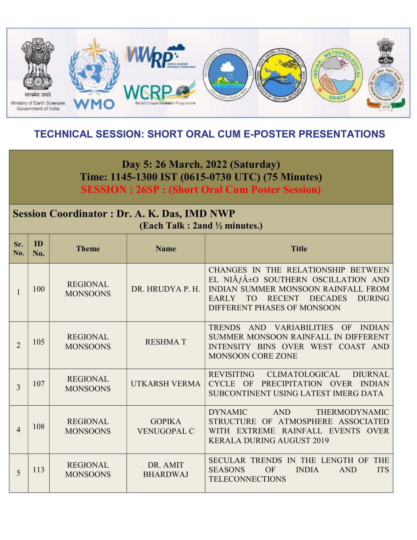

# TECHNICAL SESSION: SHORT ORAL CUM E-POSTER PRESENTATIONS

Day 5: 26 March, 2022 (Saturday) Time: 1145-1300 IST (0615-0730 UTC) (75 Minutes) SESSION : 26SP : (Short Oral Cum Poster Session)

# Session Coordinator : Dr. A. K. Das, IMD NWP (Each Talk : 2and ½ minutes.)

| Sr.<br>No.     | ID<br>No. | <b>Theme</b>                       | <b>Name</b>                         | <b>Title</b>                                                                                                                                                                                                                               |
|----------------|-----------|------------------------------------|-------------------------------------|--------------------------------------------------------------------------------------------------------------------------------------------------------------------------------------------------------------------------------------------|
| $\mathbf{1}$   | 100       | <b>REGIONAL</b><br><b>MONSOONS</b> | DR. HRUDYA P. H.                    | CHANGES IN THE RELATIONSHIP BETWEEN<br>EL NIÃ $f$ ±O SOUTHERN OSCILLATION AND<br>INDIAN SUMMER MONSOON RAINFALL FROM<br><b>RECENT</b><br><b>DECADES</b><br><b>DURING</b><br><b>EARLY</b><br>TO <sub>1</sub><br>DIFFERENT PHASES OF MONSOON |
| $\overline{2}$ | 105       | <b>REGIONAL</b><br><b>MONSOONS</b> | <b>RESHMAT</b>                      | <b>TRENDS</b><br>AND VARIABILITIES OF<br><b>INDIAN</b><br>SUMMER MONSOON RAINFALL IN DIFFERENT<br>INTENSITY BINS OVER WEST COAST AND<br><b>MONSOON CORE ZONE</b>                                                                           |
| 3              | 107       | <b>REGIONAL</b><br><b>MONSOONS</b> | UTKARSH VERMA                       | <b>REVISITING</b><br><b>CLIMATOLOGICAL</b><br><b>DIURNAL</b><br>OF<br>PRECIPITATION OVER<br><b>CYCLE</b><br><b>INDIAN</b><br>SUBCONTINENT USING LATEST IMERG DATA                                                                          |
| $\overline{4}$ | 108       | <b>REGIONAL</b><br><b>MONSOONS</b> | <b>GOPIKA</b><br><b>VENUGOPAL C</b> | <b>DYNAMIC</b><br><b>AND</b><br><b>THERMODYNAMIC</b><br>STRUCTURE OF ATMOSPHERE ASSOCIATED<br>WITH EXTREME RAINFALL EVENTS OVER<br><b>KERALA DURING AUGUST 2019</b>                                                                        |
| 5              | 113       | <b>REGIONAL</b><br><b>MONSOONS</b> | DR. AMIT<br><b>BHARDWAJ</b>         | <b>THE</b><br>SECULAR TRENDS IN THE LENGTH OF<br><b>ITS</b><br><b>SEASONS</b><br>OF<br><b>INDIA</b><br><b>AND</b><br><b>TELECONNECTIONS</b>                                                                                                |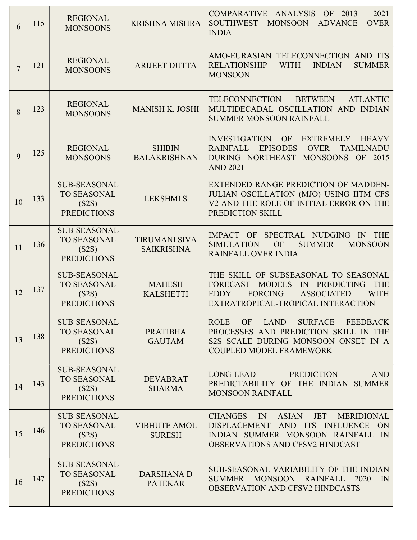| 6              | 115 | <b>REGIONAL</b><br><b>MONSOONS</b>                                                                            | <b>KRISHNA MISHRA</b>                     | 2021<br>COMPARATIVE ANALYSIS OF<br>2013<br>SOUTHWEST<br><b>OVER</b><br><b>MONSOON</b><br><b>ADVANCE</b><br><b>INDIA</b>                                                                                               |  |
|----------------|-----|---------------------------------------------------------------------------------------------------------------|-------------------------------------------|-----------------------------------------------------------------------------------------------------------------------------------------------------------------------------------------------------------------------|--|
| $\overline{7}$ | 121 | <b>REGIONAL</b><br><b>MONSOONS</b>                                                                            | <b>ARIJEET DUTTA</b>                      | AMO-EURASIAN TELECONNECTION AND ITS<br><b>RELATIONSHIP</b><br><b>WITH</b><br><b>INDIAN</b><br><b>SUMMER</b><br><b>MONSOON</b>                                                                                         |  |
| 8              | 123 | <b>REGIONAL</b><br><b>MANISH K. JOSHI</b><br><b>MONSOONS</b>                                                  |                                           | TELECONNECTION<br><b>BETWEEN</b><br><b>ATLANTIC</b><br>MULTIDECADAL OSCILLATION AND INDIAN<br><b>SUMMER MONSOON RAINFALL</b>                                                                                          |  |
| 9              | 125 | <b>REGIONAL</b><br><b>MONSOONS</b>                                                                            | <b>SHIBIN</b><br><b>BALAKRISHNAN</b>      | <b>INVESTIGATION</b><br><b>OF</b><br><b>EXTREMELY</b><br><b>HEAVY</b><br><b>EPISODES</b><br><b>RAINFALL</b><br><b>OVER</b><br><b>TAMILNADU</b><br>DURING NORTHEAST<br>MONSOONS OF 2015<br><b>AND 2021</b>             |  |
| 10             | 133 | <b>SUB-SEASONAL</b><br><b>TO SEASONAL</b><br><b>LEKSHMI S</b><br>(S2S)<br><b>PREDICTIONS</b>                  |                                           | <b>EXTENDED RANGE PREDICTION OF MADDEN-</b><br>JULIAN OSCILLATION (MJO) USING IITM CFS<br>V2 AND THE ROLE OF INITIAL ERROR ON THE<br>PREDICTION SKILL                                                                 |  |
| 11             | 136 | <b>SUB-SEASONAL</b><br><b>TO SEASONAL</b><br>(S2S)<br><b>PREDICTIONS</b>                                      | <b>TIRUMANI SIVA</b><br><b>SAIKRISHNA</b> | SPECTRAL NUDGING<br>IN THE<br>IMPACT OF<br>OF<br><b>SIMULATION</b><br><b>SUMMER</b><br><b>MONSOON</b><br><b>RAINFALL OVER INDIA</b>                                                                                   |  |
| 12             | 137 | <b>SUB-SEASONAL</b><br><b>TO SEASONAL</b><br><b>MAHESH</b><br><b>KALSHETTI</b><br>(S2S)<br><b>PREDICTIONS</b> |                                           | THE SKILL OF SUBSEASONAL TO SEASONAL<br><b>MODELS</b><br>IN<br>PREDICTING<br><b>THE</b><br><b>FORECAST</b><br><b>FORCING</b><br><b>ASSOCIATED</b><br><b>WITH</b><br><b>EDDY</b><br>EXTRATROPICAL-TROPICAL INTERACTION |  |
| 13             | 138 | <b>SUB-SEASONAL</b><br><b>TO SEASONAL</b><br><b>PRATIBHA</b><br><b>GAUTAM</b><br>(S2S)<br><b>PREDICTIONS</b>  |                                           | <b>OF</b><br>LAND<br><b>SURFACE</b><br><b>FEEDBACK</b><br><b>ROLE</b><br>PROCESSES AND PREDICTION SKILL IN THE<br>S2S SCALE DURING MONSOON ONSET IN A<br><b>COUPLED MODEL FRAMEWORK</b>                               |  |
| 14             | 143 | <b>SUB-SEASONAL</b><br><b>TO SEASONAL</b><br>(S2S)<br><b>PREDICTIONS</b>                                      | <b>DEVABRAT</b><br><b>SHARMA</b>          | <b>PREDICTION</b><br><b>AND</b><br>LONG-LEAD<br>PREDICTABILITY OF THE INDIAN SUMMER<br><b>MONSOON RAINFALL</b>                                                                                                        |  |
| 15             | 146 | <b>SUB-SEASONAL</b><br><b>TO SEASONAL</b><br>(S2S)<br><b>PREDICTIONS</b>                                      | <b>VIBHUTE AMOL</b><br><b>SURESH</b>      | <b>JET</b><br>IN ASIAN<br><b>CHANGES</b><br><b>MERIDIONAL</b><br>DISPLACEMENT AND ITS<br>INFLUENCE ON<br>INDIAN SUMMER MONSOON RAINFALL IN<br><b>OBSERVATIONS AND CFSV2 HINDCAST</b>                                  |  |
| 16             | 147 | <b>SUB-SEASONAL</b><br><b>TO SEASONAL</b><br>(S2S)<br><b>PREDICTIONS</b>                                      | <b>DARSHANA D</b><br><b>PATEKAR</b>       | SUB-SEASONAL VARIABILITY OF THE INDIAN<br>MONSOON RAINFALL<br>2020<br>$\mathbb{N}$<br>SUMMER<br><b>OBSERVATION AND CFSV2 HINDCASTS</b>                                                                                |  |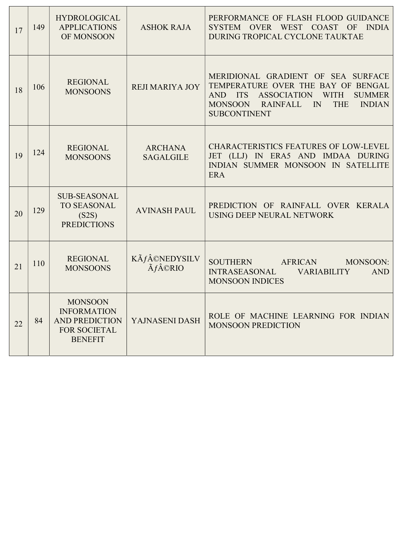| 17 | 149 | <b>HYDROLOGICAL</b><br><b>APPLICATIONS</b><br>OF MONSOON                                               | <b>ASHOK RAJA</b>      | PERFORMANCE OF FLASH FLOOD GUIDANCE<br>OVER WEST COAST OF<br><b>INDIA</b><br><b>SYSTEM</b><br>DURING TROPICAL CYCLONE TAUKTAE                                                                                                |  |
|----|-----|--------------------------------------------------------------------------------------------------------|------------------------|------------------------------------------------------------------------------------------------------------------------------------------------------------------------------------------------------------------------------|--|
| 18 | 106 | <b>REGIONAL</b><br><b>MONSOONS</b>                                                                     | <b>REJI MARIYA JOY</b> | MERIDIONAL GRADIENT OF SEA SURFACE<br>TEMPERATURE OVER THE BAY OF BENGAL<br>AND ITS<br>ASSOCIATION<br><b>WITH</b><br><b>SUMMER</b><br>MONSOON RAINFALL<br>$\mathbb{N}$<br><b>THE</b><br><b>INDIAN</b><br><b>SUBCONTINENT</b> |  |
| 19 | 124 | <b>ARCHANA</b><br><b>REGIONAL</b><br><b>MONSOONS</b><br><b>SAGALGILE</b>                               |                        | <b>CHARACTERISTICS FEATURES OF LOW-LEVEL</b><br>JET (LLJ) IN ERA5 AND IMDAA DURING<br>INDIAN SUMMER MONSOON IN SATELLITE<br><b>ERA</b>                                                                                       |  |
| 20 | 129 | <b>SUB-SEASONAL</b><br>TO SEASONAL<br>(S2S)<br><b>PREDICTIONS</b>                                      | <b>AVINASH PAUL</b>    | PREDICTION OF RAINFALL OVER KERALA<br>USING DEEP NEURAL NETWORK                                                                                                                                                              |  |
| 21 | 110 | $K\tilde{A}f\hat{A}$ ©NEDYSILV<br><b>REGIONAL</b><br><b>Ãf©RIO</b><br><b>MONSOONS</b>                  |                        | <b>SOUTHERN</b><br>MONSOON:<br>AFRICAN<br><b>INTRASEASONAL</b><br><b>AND</b><br><b>VARIABILITY</b><br><b>MONSOON INDICES</b>                                                                                                 |  |
| 22 | 84  | <b>MONSOON</b><br><b>INFORMATION</b><br><b>AND PREDICTION</b><br><b>FOR SOCIETAL</b><br><b>BENEFIT</b> | YAJNASENI DASH         | ROLE OF MACHINE LEARNING FOR INDIAN<br><b>MONSOON PREDICTION</b>                                                                                                                                                             |  |